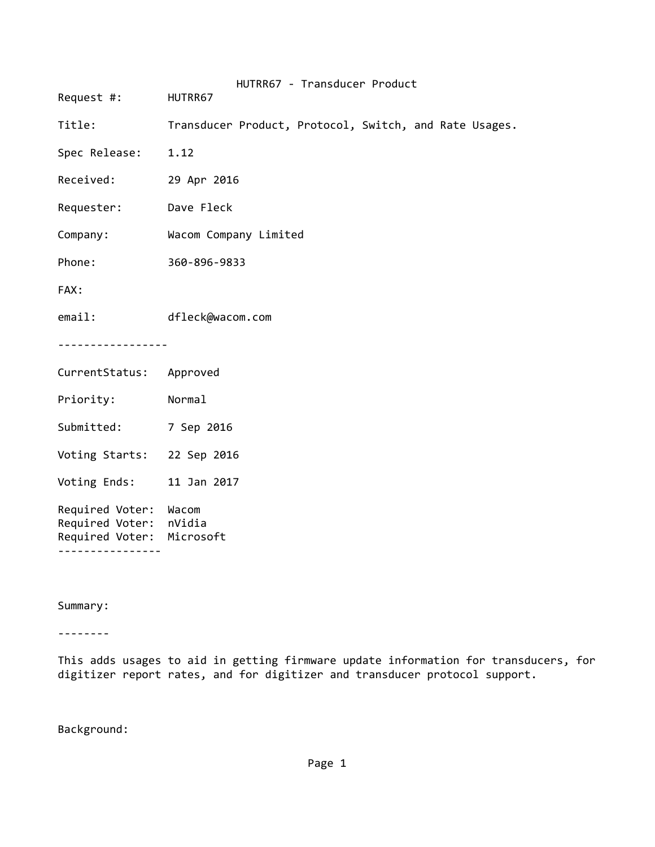| Request #: HUTRR67                                                                        | HUTRR67 - Transducer Product                           |  |  |  |
|-------------------------------------------------------------------------------------------|--------------------------------------------------------|--|--|--|
| Title:                                                                                    | Transducer Product, Protocol, Switch, and Rate Usages. |  |  |  |
| Spec Release:                                                                             | 1.12                                                   |  |  |  |
| Received:                                                                                 | 29 Apr 2016                                            |  |  |  |
| Requester:                                                                                | Dave Fleck                                             |  |  |  |
| Company:                                                                                  | Wacom Company Limited                                  |  |  |  |
| Phone:                                                                                    | 360-896-9833                                           |  |  |  |
| FAX:                                                                                      |                                                        |  |  |  |
| email:                                                                                    | dfleck@wacom.com                                       |  |  |  |
| .                                                                                         |                                                        |  |  |  |
| CurrentStatus: Approved                                                                   |                                                        |  |  |  |
| Priority:                                                                                 | Normal                                                 |  |  |  |
| Submitted:                                                                                | 7 Sep 2016                                             |  |  |  |
| Voting Starts: 22 Sep 2016                                                                |                                                        |  |  |  |
| Voting Ends: 11 Jan 2017                                                                  |                                                        |  |  |  |
| Required Voter:<br>Required Voter: nVidia<br>Required Voter: Microsoft<br>--------------- | Wacom                                                  |  |  |  |

Summary:

‐‐‐‐‐‐‐‐

This adds usages to aid in getting firmware update information for transducers, for digitizer report rates, and for digitizer and transducer protocol support.

Background: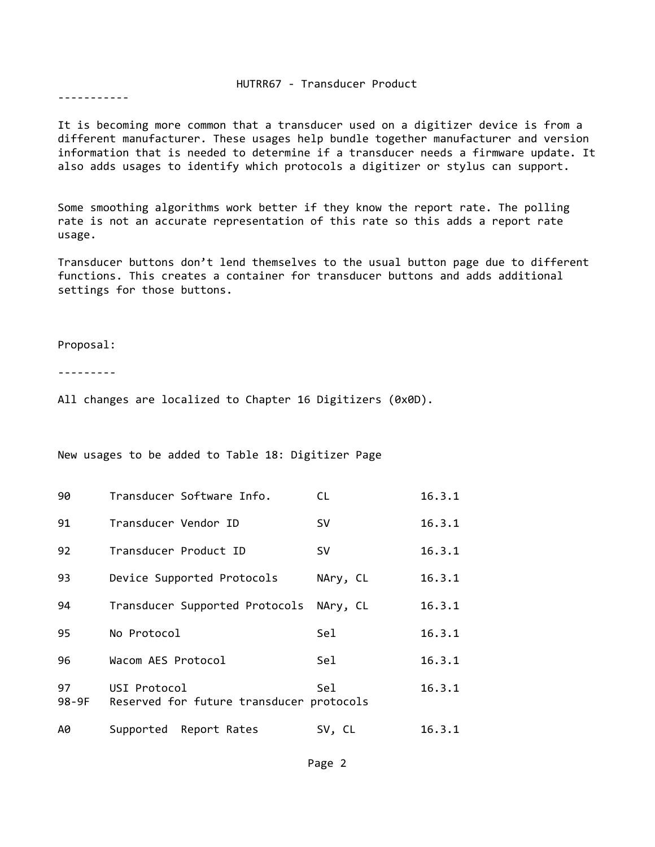## HUTRR67 ‐ Transducer Product

‐‐‐‐‐‐‐‐‐‐‐

It is becoming more common that a transducer used on a digitizer device is from a different manufacturer. These usages help bundle together manufacturer and version information that is needed to determine if a transducer needs a firmware update. It also adds usages to identify which protocols a digitizer or stylus can support.

Some smoothing algorithms work better if they know the report rate. The polling rate is not an accurate representation of this rate so this adds a report rate usage.

Transducer buttons don't lend themselves to the usual button page due to different functions. This creates a container for transducer buttons and adds additional settings for those buttons.

Proposal:

‐‐‐‐‐‐‐‐‐

All changes are localized to Chapter 16 Digitizers (0x0D).

New usages to be added to Table 18: Digitizer Page

| 90            | Transducer Software Info.                                | CL.       | 16.3.1 |
|---------------|----------------------------------------------------------|-----------|--------|
| 91            | Transducer Vendor ID                                     | <b>SV</b> | 16.3.1 |
| 92            | Transducer Product ID                                    | <b>SV</b> | 16.3.1 |
| 93            | Device Supported Protocols                               | NAry, CL  | 16.3.1 |
| 94            | Transducer Supported Protocols                           | NAry, CL  | 16.3.1 |
| 95            | No Protocol                                              | Sel       | 16.3.1 |
| 96            | Wacom AES Protocol                                       | Sel       | 16.3.1 |
| 97<br>$98-9F$ | USI Protocol<br>Reserved for future transducer protocols | Sel       | 16.3.1 |
| A0            | Supported Report Rates                                   | SV, CL    | 16.3.1 |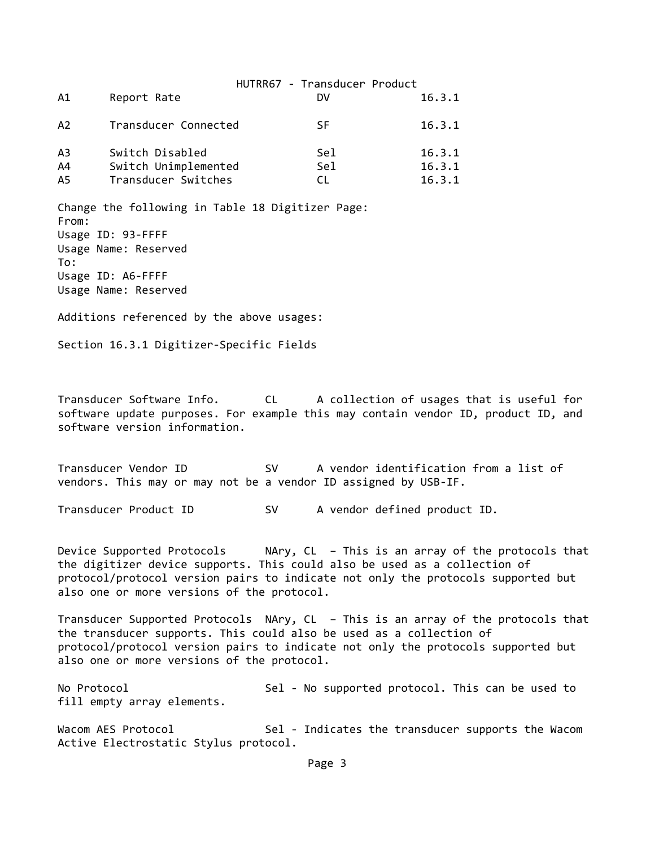|                |                      | HUTRR67 - Transducer Product |        |
|----------------|----------------------|------------------------------|--------|
| Α1             | Report Rate          | DV                           | 16.3.1 |
| A <sub>2</sub> | Transducer Connected | SF.                          | 16.3.1 |
| A <sub>3</sub> | Switch Disabled      | Sel                          | 16.3.1 |
| A4             | Switch Unimplemented | Sel                          | 16.3.1 |
| A5             | Transducer Switches  | CL.                          | 16.3.1 |

Change the following in Table 18 Digitizer Page: From: Usage ID: 93‐FFFF Usage Name: Reserved To: Usage ID: A6‐FFFF Usage Name: Reserved

Additions referenced by the above usages:

Section 16.3.1 Digitizer‐Specific Fields

Transducer Software Info. CL A collection of usages that is useful for software update purposes. For example this may contain vendor ID, product ID, and software version information.

Transducer Vendor ID SV A vendor identification from a list of vendors. This may or may not be a vendor ID assigned by USB‐IF.

Transducer Product ID SV A vendor defined product ID.

Device Supported Protocols NAry, CL – This is an array of the protocols that the digitizer device supports. This could also be used as a collection of protocol/protocol version pairs to indicate not only the protocols supported but also one or more versions of the protocol.

Transducer Supported Protocols NAry, CL – This is an array of the protocols that the transducer supports. This could also be used as a collection of protocol/protocol version pairs to indicate not only the protocols supported but also one or more versions of the protocol.

No Protocol Sel - No supported protocol. This can be used to fill empty array elements.

Wacom AES Protocol Sel - Indicates the transducer supports the Wacom Active Electrostatic Stylus protocol.